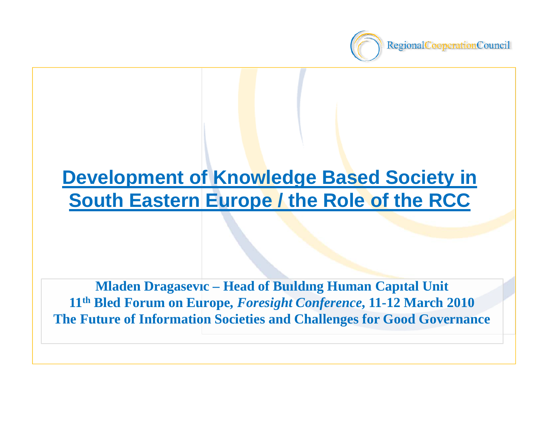

# **Development of Knowledge Based Society in South Eastern Europe / the Role of the RCC**

**Mladen Dragasev <sup>ı</sup>c – Head of Bu ıld <sup>ı</sup>ng Human Cap <sup>ı</sup>tal Unit 11th Bled Forum on Europe,** *Foresight Conference***, 11-12 March 2010 The Future of Information Societies and Challenges for Good Governance**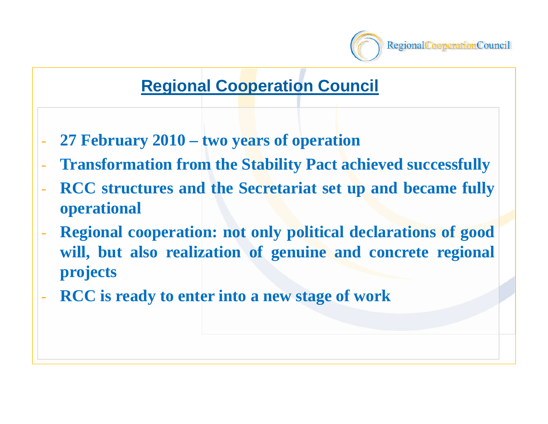

#### **Regional Cooperation Council**

- **27 February 2010 – two years of operation**
- **Transformation from the Stability Pact achieved successfully**
- **RCC structures and the Secretariat set up and became fully operational**
- **Regional cooperation: not only political declarations of good will, but also realization of genuine and concrete regional projects**
- **RCC is ready to enter into <sup>a</sup> new stage of work**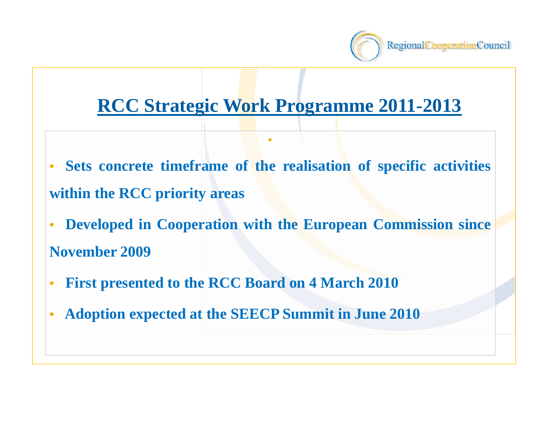

#### **RCC Strategic Work Programme 2011-2013**

• **Sets concrete timeframe of the realisation of specific activities within the RCC priority areas**

•

- • **Developed in Cooperation with the European Commission since November 2009**
- •**First presented to the RCC Board on 4 March 2010**
- •**Adoption expected at the SEECP Summit in June 2010**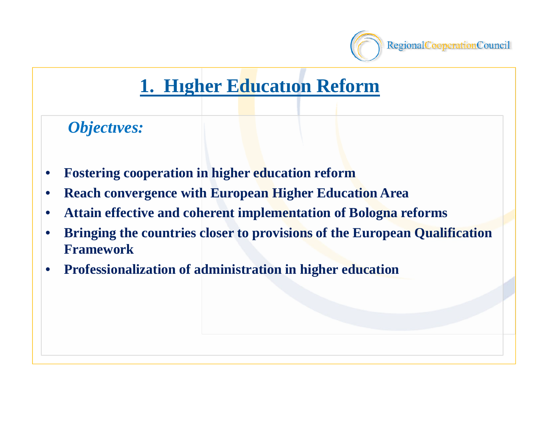

## **1. Hıgher Educatıon Reform**

*Objectıves:* 

- •**Fostering cooperation in higher education reform**
- •**Reach convergence with European Higher Education Area**
- $\bullet$ **Attain effective and coherent implementation of Bologna reforms**
- • **Bringing the countries closer to provisions of the European Qualification Framework**
- •**Professionalization of administration in higher education**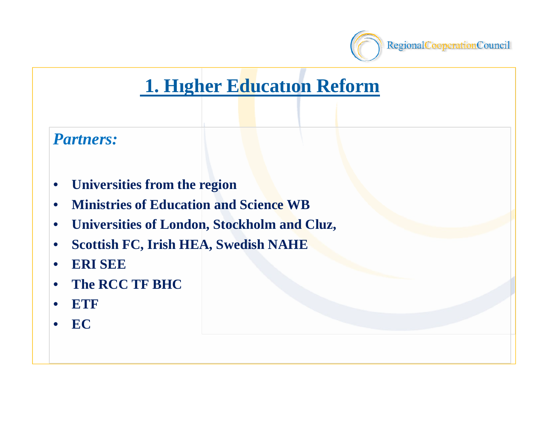

## **1. Hıgher Educatıon Reform**



- •**Universities from the region**
- •**Ministries of Education and Science WB**
- •**Universities of London, Stockholm and Cluz,**
- $\bullet$ **Scottish FC, Irish HEA, Swedish NAHE**
- •**ERI SEE**
- •**The RCC TF BHC**
- •**ETF**
- •**EC**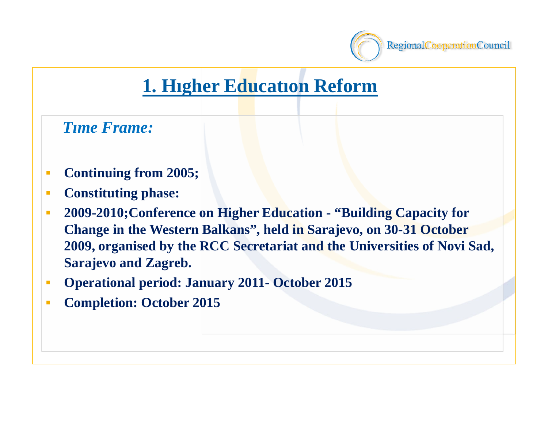

## **1. Hıgher Educatıon Reform**

*Tıme Frame:*

- $\mathcal{L}_{\mathcal{A}}$ **Continuing from 2005;**
- $\blacksquare$ **Constituting phase:**
- $\mathcal{L}_{\mathcal{A}}$  **2009-2010;Conference on Higher Education - "Building Capacity for Change in the Western Balkans", held in Sarajevo, on 30-31 October 2009, organised by the RCC Secretariat and the Universities of Novi Sad, Sarajevo and Zagreb.**
- $\mathcal{L}_{\mathcal{A}}$ **Operational period: January 2011- October 2015**
- $\mathcal{L}_{\mathcal{A}}$ **Completion: October 2015**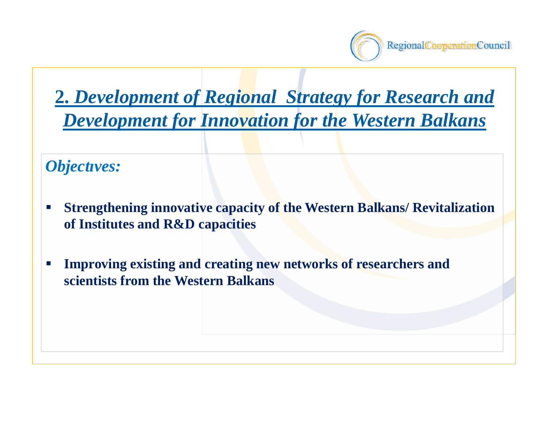

**2.** *Development of Regional Strategy for Research and Development for Innovation for the Western Balkans*

*Objectıves:*

- $\mathcal{L}_{\mathcal{A}}$  **Strengthening innovative capacity of the Western Balkans/ Revitalization of Institutes and R&D capacities**
- $\mathcal{L}_{\mathcal{A}}$  **Improving existing and creating new networks of researchers and scientists from the Western Balkans**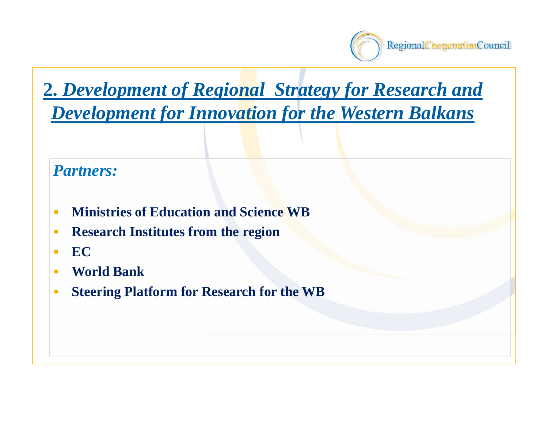

# **2.** *Development of Regional Strategy for Research and*

*Development for Innovation for the Western Balkans*

#### *Partners:*

- Ē. **Ministries of Education and Science WB**
- $\mathcal{L}_{\mathcal{A}}$ **Research Institutes from the region**
- П **EC**
- **World Bank**
- $\blacksquare$ **Steering Platform for Research for the WB**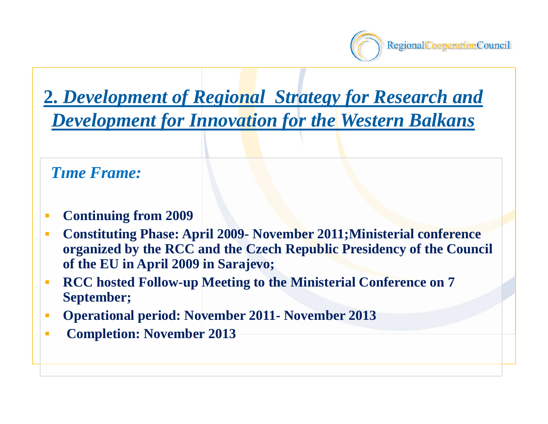

#### **2.** *Development of Regional Strategy for Research and Development for Innovation for the Western Balkans*

*Tıme Frame:*

- $\mathcal{L}_{\mathcal{A}}$ **Continuing from 2009**
- п **Constituting Phase: April 2009- November 2011;Ministerial conference organized by the RCC and the Czech Republic Presidency of the Council of the EU in April 2009 in Sarajevo;**
- $\mathcal{L}_{\mathcal{A}}$  **RCC hosted Follow-up Meeting to the Ministerial Conference on 7 September;**
- $\mathcal{C}^{\mathcal{A}}$ **Operational period: November 2011- November 2013**
- п **Completion: November 2013**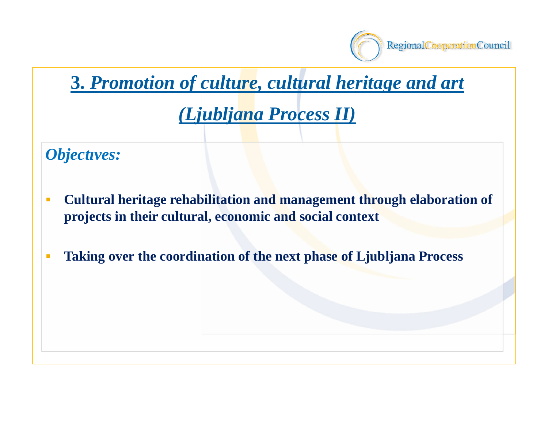

#### **3.** *Promotion of culture, cultural heritage and art*

#### *(Ljubljana Process II)*

*Objectıves:* 

- $\mathcal{C}$  **Cultural heritage rehabilitation and management through elaboration of projects in their cultural, economic and social context**
- $\mathcal{L}_{\mathcal{A}}$ **Taking over the coordination of the next phase of Ljubljana Process**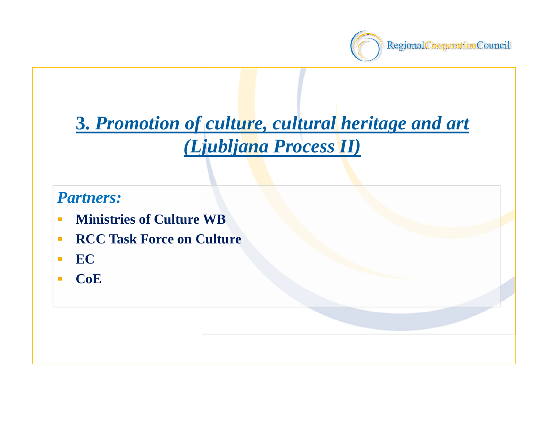

# **3.** *Promotion of culture, cultural heritage and art (Ljubljana Process II)*

#### *Partners:*

- $\mathcal{L}_{\mathcal{A}}$ **Ministries of Culture WB**
- п **RCC Task Force on Culture**
- п **EC**
- $\mathcal{L}$ **CoE**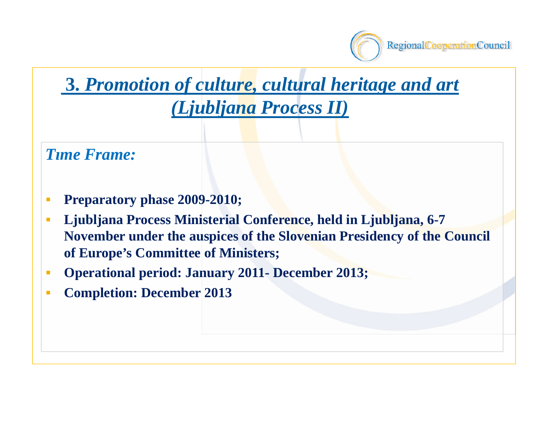

# **3.** *Promotion of culture, cultural heritage and art*

#### *(Ljubljana Process II)*

*Tıme Frame:* 

- $\blacksquare$ **Preparatory phase 2009-2010;**
- $\mathcal{L}_{\mathcal{A}}$  **Ljubljana Process Ministerial Conference, held in Ljubljana, 6-7 November under the auspices of the Slovenian Presidency of the Council of Europe's Committee of Ministers;**
- $\mathcal{L}_{\mathcal{A}}$ **Operational period: January 2011- December 2013;**
- $\mathcal{L}_{\mathcal{A}}$ **Completion: December 2013**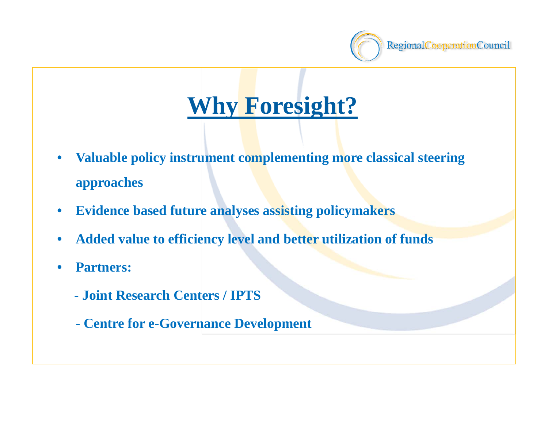

# **Why Foresight?**

- • **Valuable policy instrument complementing more classical steering approaches**
- $\bullet$ **Evidence based future analyses assisting policymakers**
- •**Added value to efficiency level and better utilization of funds**
- • **Partners:**
	- **- Joint Research Centers / IPTS**
	- **- Centre for e-Governance Development**